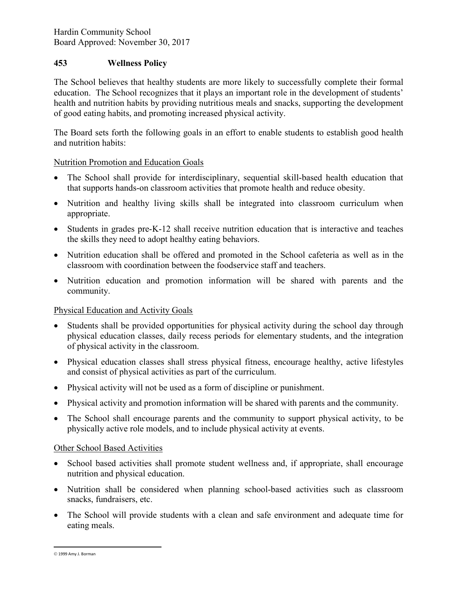Hardin Community School Board Approved: November 30, 2017

# 453 Wellness Policy

The School believes that healthy students are more likely to successfully complete their formal education. The School recognizes that it plays an important role in the development of students' health and nutrition habits by providing nutritious meals and snacks, supporting the development of good eating habits, and promoting increased physical activity.

The Board sets forth the following goals in an effort to enable students to establish good health and nutrition habits:

### Nutrition Promotion and Education Goals

- The School shall provide for interdisciplinary, sequential skill-based health education that that supports hands-on classroom activities that promote health and reduce obesity.
- Nutrition and healthy living skills shall be integrated into classroom curriculum when appropriate.
- Students in grades pre-K-12 shall receive nutrition education that is interactive and teaches the skills they need to adopt healthy eating behaviors.
- Nutrition education shall be offered and promoted in the School cafeteria as well as in the classroom with coordination between the foodservice staff and teachers.
- Nutrition education and promotion information will be shared with parents and the community.

# Physical Education and Activity Goals

- Students shall be provided opportunities for physical activity during the school day through physical education classes, daily recess periods for elementary students, and the integration of physical activity in the classroom.
- Physical education classes shall stress physical fitness, encourage healthy, active lifestyles and consist of physical activities as part of the curriculum.
- Physical activity will not be used as a form of discipline or punishment.
- Physical activity and promotion information will be shared with parents and the community.
- The School shall encourage parents and the community to support physical activity, to be physically active role models, and to include physical activity at events.

#### Other School Based Activities

- School based activities shall promote student wellness and, if appropriate, shall encourage nutrition and physical education.
- Nutrition shall be considered when planning school-based activities such as classroom snacks, fundraisers, etc.
- The School will provide students with a clean and safe environment and adequate time for eating meals.

 $\overline{a}$ 

 <sup>1999</sup> Amy J. Borman